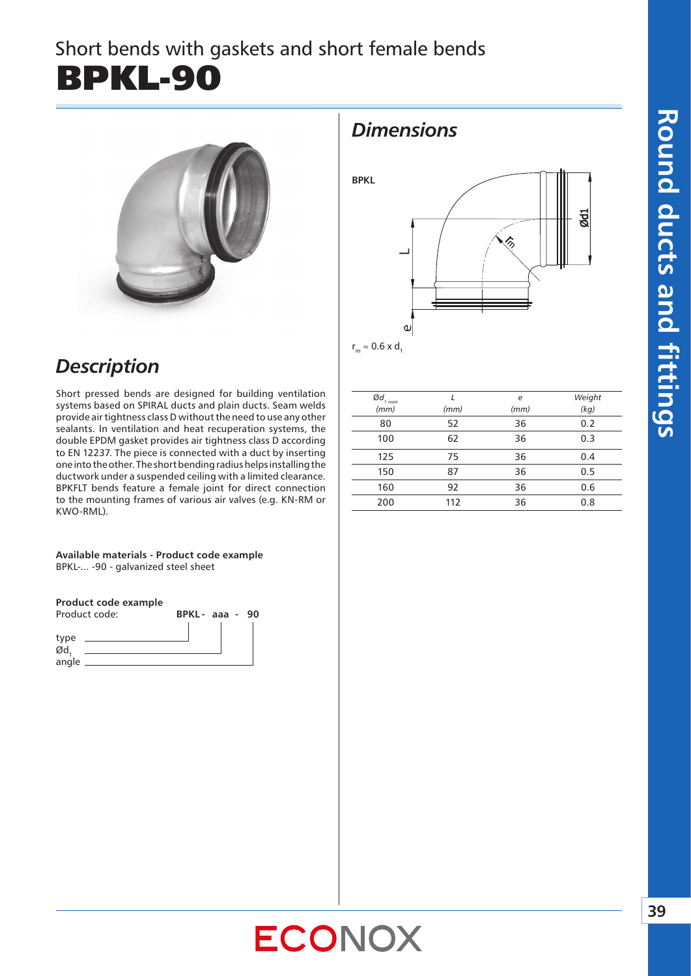# Short bends with gaskets and short female bends BPKL-90



### *Description*

Short pressed bends are designed for building ventilation systems based on SPIRAL ducts and plain ducts. Seam welds provide air tightness class D without the need to use any other sealants. In ventilation and heat recuperation systems, the double EPDM gasket provides air tightness class D according to EN 12237. The piece is connected with a duct by inserting one into the other. The short bending radius helps installing the ductwork under a suspended ceiling with a limited clearance. BPKFLT bends feature a female joint for direct connection to the mounting frames of various air valves (e.g. KN-RM or KWO-RML).

**Available materials - Product code example** BPKL-... -90 - galvanized steel sheet

### **Product code example**



### *Dimensions*



 $r_m \approx 0.6$  x d.

| Ød.<br>$1$ nom | ı    | e    | Weight |
|----------------|------|------|--------|
| (mm)           | (mm) | (mm) | (kg)   |
| 80             | 52   | 36   | 0.2    |
| 100            | 62   | 36   | 0.3    |
| 125            | 75   | 36   | 0.4    |
| 150            | 87   | 36   | 0.5    |
| 160            | 92   | 36   | 0.6    |
| 200            | 112  | 36   | 0.8    |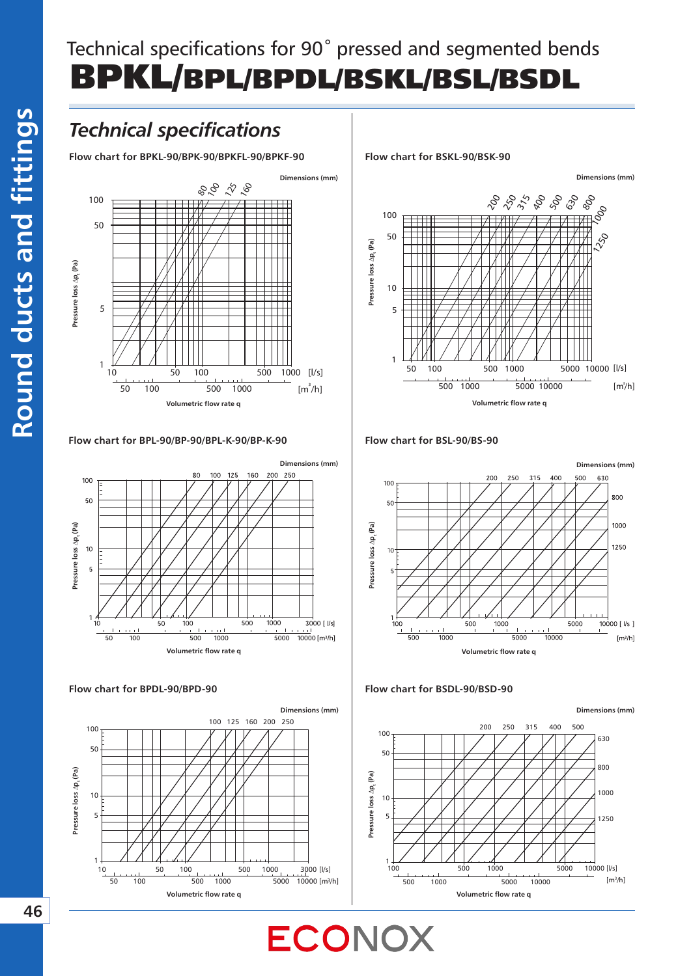# Technical specifications for 90*˚* pressed and segmented bends BPKL/BPL/BPDL/BSKL/BSL/BSDL

### *Technical specifications*

**Flow chart for BPKL-90/BPK-90/BPKFL-90/BPKF-90**



#### **Flow chart for BPL-90/BP-90/BPL-K-90/BP-K-90 Flow chart for BSL-90/BS-90**



#### **Flow chart for BPDL-90/BPD-90**



**Flow chart for BSKL-90/BSK-90**





#### **Flow chart for BSDL-90/BSD-90**

ECONOX

**Dimensions (mm)**



**46**